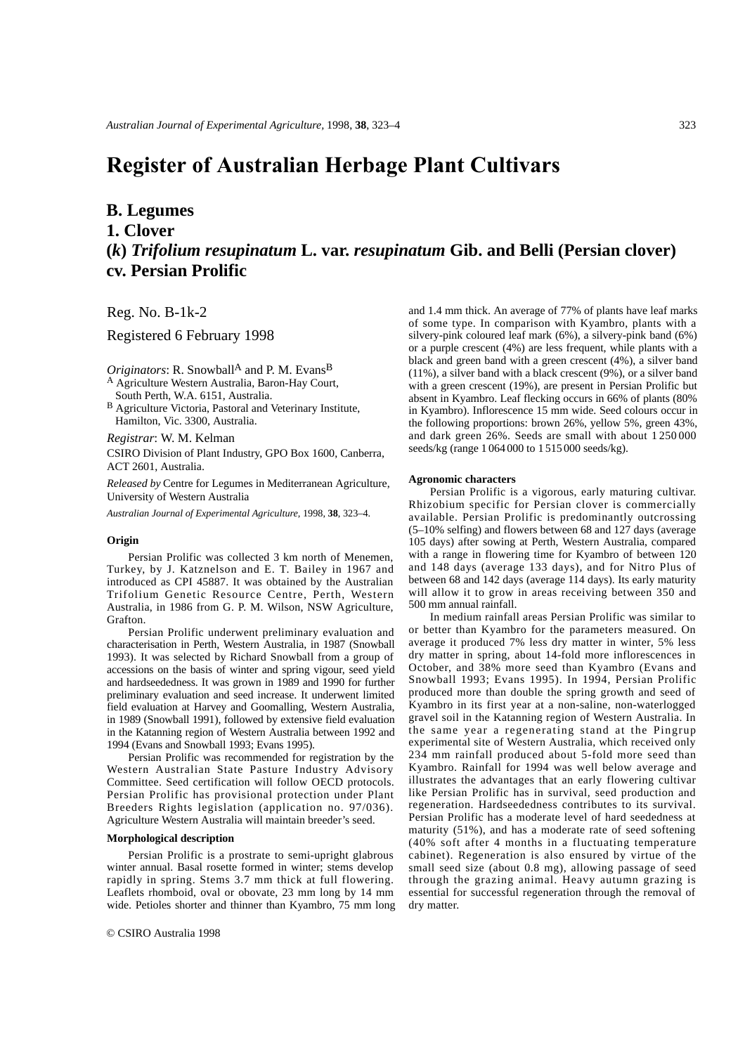# **Register of Australian Herbage Plant Cultivars**

### **B. Legumes**

**1. Clover**

## **(***k***)** *Trifolium resupinatum* **L. var.** *resupinatum* **Gib. and Belli (Persian clover) cv. Persian Prolific**

Reg. No. B-1k-2

Registered 6 February 1998

*Originators*: R. Snowball<sup>A</sup> and P. M. Evans<sup>B</sup> <sup>A</sup> Agriculture Western Australia, Baron-Hay Court,

South Perth, W.A. 6151, Australia.

B Agriculture Victoria, Pastoral and Veterinary Institute, Hamilton, Vic. 3300, Australia.

#### *Registrar*: W. M. Kelman

CSIRO Division of Plant Industry, GPO Box 1600, Canberra, ACT 2601, Australia.

*Released by* Centre for Legumes in Mediterranean Agriculture, University of Western Australia

*Australian Journal of Experimental Agriculture,* 1998, **38**, 323–4.

#### **Origin**

Persian Prolific was collected 3 km north of Menemen, Turkey, by J. Katznelson and E. T. Bailey in 1967 and introduced as CPI 45887. It was obtained by the Australian Trifolium Genetic Resource Centre, Perth, Western Australia, in 1986 from G. P. M. Wilson, NSW Agriculture, Grafton.

Persian Prolific underwent preliminary evaluation and characterisation in Perth, Western Australia, in 1987 (Snowball 1993). It was selected by Richard Snowball from a group of accessions on the basis of winter and spring vigour, seed yield and hardseededness. It was grown in 1989 and 1990 for further preliminary evaluation and seed increase. It underwent limited field evaluation at Harvey and Goomalling, Western Australia, in 1989 (Snowball 1991), followed by extensive field evaluation in the Katanning region of Western Australia between 1992 and 1994 (Evans and Snowball 1993; Evans 1995).

Persian Prolific was recommended for registration by the Western Australian State Pasture Industry Advisory Committee. Seed certification will follow OECD protocols. Persian Prolific has provisional protection under Plant Breeders Rights legislation (application no. 97/036). Agriculture Western Australia will maintain breeder's seed.

#### **Morphological description**

Persian Prolific is a prostrate to semi-upright glabrous winter annual. Basal rosette formed in winter; stems develop rapidly in spring. Stems 3.7 mm thick at full flowering. Leaflets rhomboid, oval or obovate, 23 mm long by 14 mm wide. Petioles shorter and thinner than Kyambro, 75 mm long

and 1.4 mm thick. An average of 77% of plants have leaf marks of some type. In comparison with Kyambro, plants with a silvery-pink coloured leaf mark (6%), a silvery-pink band (6%) or a purple crescent (4%) are less frequent, while plants with a black and green band with a green crescent (4%), a silver band (11%), a silver band with a black crescent (9%), or a silver band with a green crescent (19%), are present in Persian Prolific but absent in Kyambro. Leaf flecking occurs in 66% of plants (80% in Kyambro). Inflorescence 15 mm wide. Seed colours occur in the following proportions: brown 26%, yellow 5%, green 43%, and dark green 26%. Seeds are small with about 1 250 000 seeds/kg (range 1 064 000 to 1 515 000 seeds/kg).

#### **Agronomic characters**

Persian Prolific is a vigorous, early maturing cultivar. Rhizobium specific for Persian clover is commercially available. Persian Prolific is predominantly outcrossing (5–10% selfing) and flowers between 68 and 127 days (average 105 days) after sowing at Perth, Western Australia, compared with a range in flowering time for Kyambro of between 120 and 148 days (average 133 days), and for Nitro Plus of between 68 and 142 days (average 114 days). Its early maturity will allow it to grow in areas receiving between 350 and 500 mm annual rainfall.

In medium rainfall areas Persian Prolific was similar to or better than Kyambro for the parameters measured. On average it produced 7% less dry matter in winter, 5% less dry matter in spring, about 14-fold more inflorescences in October, and 38% more seed than Kyambro (Evans and Snowball 1993; Evans 1995). In 1994, Persian Prolific produced more than double the spring growth and seed of Kyambro in its first year at a non-saline, non-waterlogged gravel soil in the Katanning region of Western Australia. In the same year a regenerating stand at the Pingrup experimental site of Western Australia, which received only 234 mm rainfall produced about 5-fold more seed than Kyambro. Rainfall for 1994 was well below average and illustrates the advantages that an early flowering cultivar like Persian Prolific has in survival, seed production and regeneration. Hardseededness contributes to its survival. Persian Prolific has a moderate level of hard seededness at maturity (51%), and has a moderate rate of seed softening (40% soft after 4 months in a fluctuating temperature cabinet). Regeneration is also ensured by virtue of the small seed size (about 0.8 mg), allowing passage of seed through the grazing animal. Heavy autumn grazing is essential for successful regeneration through the removal of dry matter.